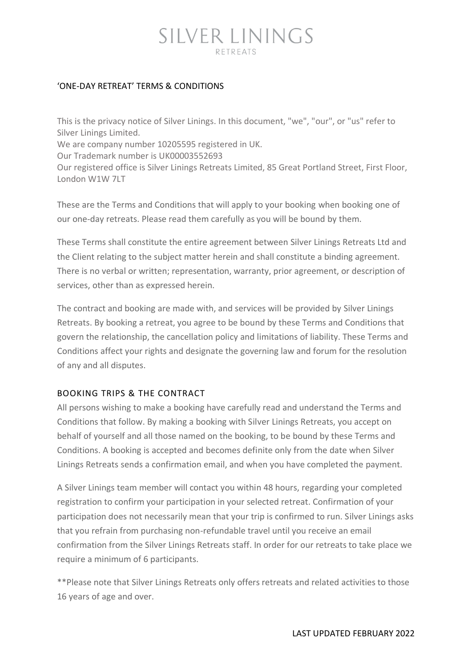## SILVER LININGS RETREATS

## 'ONE-DAY RETREAT' TERMS & CONDITIONS

This is the privacy notice of Silver Linings. In this document, "we", "our", or "us" refer to Silver Linings Limited. We are company number 10205595 registered in UK. Our Trademark number is UK00003552693 Our registered office is Silver Linings Retreats Limited, 85 Great Portland Street, First Floor, London W1W 7LT

These are the Terms and Conditions that will apply to your booking when booking one of our one-day retreats. Please read them carefully as you will be bound by them.

These Terms shall constitute the entire agreement between Silver Linings Retreats Ltd and the Client relating to the subject matter herein and shall constitute a binding agreement. There is no verbal or written; representation, warranty, prior agreement, or description of services, other than as expressed herein.

The contract and booking are made with, and services will be provided by Silver Linings Retreats. By booking a retreat, you agree to be bound by these Terms and Conditions that govern the relationship, the cancellation policy and limitations of liability. These Terms and Conditions affect your rights and designate the governing law and forum for the resolution of any and all disputes.

## BOOKING TRIPS & THE CONTRACT

All persons wishing to make a booking have carefully read and understand the Terms and Conditions that follow. By making a booking with Silver Linings Retreats, you accept on behalf of yourself and all those named on the booking, to be bound by these Terms and Conditions. A booking is accepted and becomes definite only from the date when Silver Linings Retreats sends a confirmation email, and when you have completed the payment.

A Silver Linings team member will contact you within 48 hours, regarding your completed registration to confirm your participation in your selected retreat. Confirmation of your participation does not necessarily mean that your trip is confirmed to run. Silver Linings asks that you refrain from purchasing non-refundable travel until you receive an email confirmation from the Silver Linings Retreats staff. In order for our retreats to take place we require a minimum of 6 participants.

\*\*Please note that Silver Linings Retreats only offers retreats and related activities to those 16 years of age and over.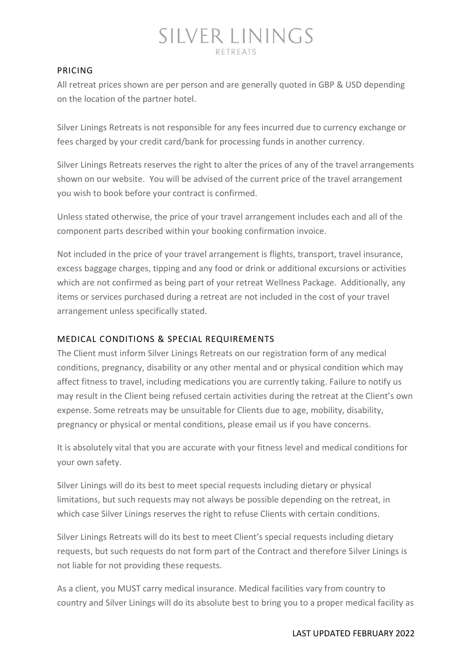## PRICING

All retreat prices shown are per person and are generally quoted in GBP & USD depending on the location of the partner hotel.

Silver Linings Retreats is not responsible for any fees incurred due to currency exchange or fees charged by your credit card/bank for processing funds in another currency.

Silver Linings Retreats reserves the right to alter the prices of any of the travel arrangements shown on our website. You will be advised of the current price of the travel arrangement you wish to book before your contract is confirmed.

Unless stated otherwise, the price of your travel arrangement includes each and all of the component parts described within your booking confirmation invoice.

Not included in the price of your travel arrangement is flights, transport, travel insurance, excess baggage charges, tipping and any food or drink or additional excursions or activities which are not confirmed as being part of your retreat Wellness Package. Additionally, any items or services purchased during a retreat are not included in the cost of your travel arrangement unless specifically stated.

## MEDICAL CONDITIONS & SPECIAL REQUIREMENTS

The Client must inform Silver Linings Retreats on our registration form of any medical conditions, pregnancy, disability or any other mental and or physical condition which may affect fitness to travel, including medications you are currently taking. Failure to notify us may result in the Client being refused certain activities during the retreat at the Client's own expense. Some retreats may be unsuitable for Clients due to age, mobility, disability, pregnancy or physical or mental conditions, please email us if you have concerns.

It is absolutely vital that you are accurate with your fitness level and medical conditions for your own safety.

Silver Linings will do its best to meet special requests including dietary or physical limitations, but such requests may not always be possible depending on the retreat, in which case Silver Linings reserves the right to refuse Clients with certain conditions.

Silver Linings Retreats will do its best to meet Client's special requests including dietary requests, but such requests do not form part of the Contract and therefore Silver Linings is not liable for not providing these requests.

As a client, you MUST carry medical insurance. Medical facilities vary from country to country and Silver Linings will do its absolute best to bring you to a proper medical facility as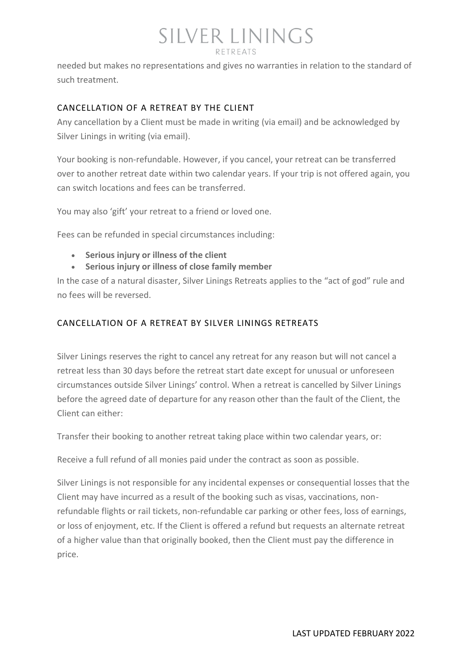## SILVER LININGS RETREATS

needed but makes no representations and gives no warranties in relation to the standard of such treatment.

## CANCELLATION OF A RETREAT BY THE CLIENT

Any cancellation by a Client must be made in writing (via email) and be acknowledged by Silver Linings in writing (via email).

Your booking is non-refundable. However, if you cancel, your retreat can be transferred over to another retreat date within two calendar years. If your trip is not offered again, you can switch locations and fees can be transferred.

You may also 'gift' your retreat to a friend or loved one.

Fees can be refunded in special circumstances including:

- **Serious injury or illness of the client**
- **Serious injury or illness of close family member**

In the case of a natural disaster, Silver Linings Retreats applies to the "act of god" rule and no fees will be reversed.

## CANCELLATION OF A RETREAT BY SILVER LININGS RETREATS

Silver Linings reserves the right to cancel any retreat for any reason but will not cancel a retreat less than 30 days before the retreat start date except for unusual or unforeseen circumstances outside Silver Linings' control. When a retreat is cancelled by Silver Linings before the agreed date of departure for any reason other than the fault of the Client, the Client can either:

Transfer their booking to another retreat taking place within two calendar years, or:

Receive a full refund of all monies paid under the contract as soon as possible.

Silver Linings is not responsible for any incidental expenses or consequential losses that the Client may have incurred as a result of the booking such as visas, vaccinations, nonrefundable flights or rail tickets, non-refundable car parking or other fees, loss of earnings, or loss of enjoyment, etc. If the Client is offered a refund but requests an alternate retreat of a higher value than that originally booked, then the Client must pay the difference in price.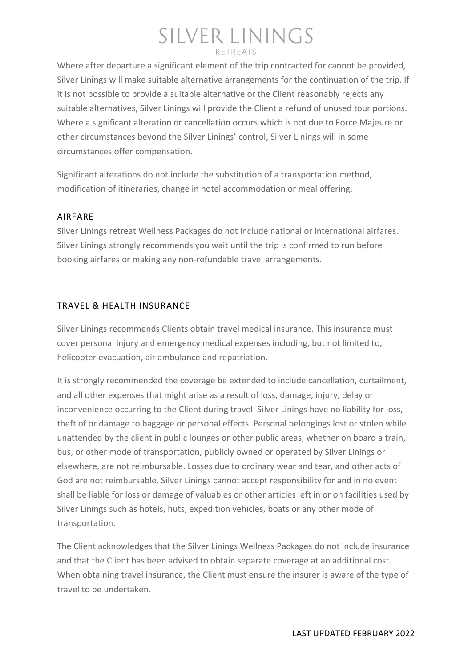## SILVER LININGS RETREATS

Where after departure a significant element of the trip contracted for cannot be provided, Silver Linings will make suitable alternative arrangements for the continuation of the trip. If it is not possible to provide a suitable alternative or the Client reasonably rejects any suitable alternatives, Silver Linings will provide the Client a refund of unused tour portions. Where a significant alteration or cancellation occurs which is not due to Force Majeure or other circumstances beyond the Silver Linings' control, Silver Linings will in some circumstances offer compensation.

Significant alterations do not include the substitution of a transportation method, modification of itineraries, change in hotel accommodation or meal offering.

## AIRFARE

Silver Linings retreat Wellness Packages do not include national or international airfares. Silver Linings strongly recommends you wait until the trip is confirmed to run before booking airfares or making any non-refundable travel arrangements.

## TRAVEL & HEALTH INSURANCE

Silver Linings recommends Clients obtain travel medical insurance. This insurance must cover personal injury and emergency medical expenses including, but not limited to, helicopter evacuation, air ambulance and repatriation.

It is strongly recommended the coverage be extended to include cancellation, curtailment, and all other expenses that might arise as a result of loss, damage, injury, delay or inconvenience occurring to the Client during travel. Silver Linings have no liability for loss, theft of or damage to baggage or personal effects. Personal belongings lost or stolen while unattended by the client in public lounges or other public areas, whether on board a train, bus, or other mode of transportation, publicly owned or operated by Silver Linings or elsewhere, are not reimbursable. Losses due to ordinary wear and tear, and other acts of God are not reimbursable. Silver Linings cannot accept responsibility for and in no event shall be liable for loss or damage of valuables or other articles left in or on facilities used by Silver Linings such as hotels, huts, expedition vehicles, boats or any other mode of transportation.

The Client acknowledges that the Silver Linings Wellness Packages do not include insurance and that the Client has been advised to obtain separate coverage at an additional cost. When obtaining travel insurance, the Client must ensure the insurer is aware of the type of travel to be undertaken.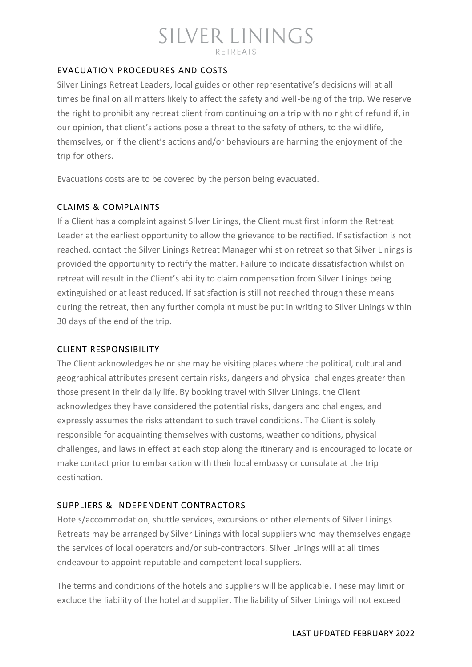## EVACUATION PROCEDURES AND COSTS

Silver Linings Retreat Leaders, local guides or other representative's decisions will at all times be final on all matters likely to affect the safety and well-being of the trip. We reserve the right to prohibit any retreat client from continuing on a trip with no right of refund if, in our opinion, that client's actions pose a threat to the safety of others, to the wildlife, themselves, or if the client's actions and/or behaviours are harming the enjoyment of the trip for others.

Evacuations costs are to be covered by the person being evacuated.

## CLAIMS & COMPLAINTS

If a Client has a complaint against Silver Linings, the Client must first inform the Retreat Leader at the earliest opportunity to allow the grievance to be rectified. If satisfaction is not reached, contact the Silver Linings Retreat Manager whilst on retreat so that Silver Linings is provided the opportunity to rectify the matter. Failure to indicate dissatisfaction whilst on retreat will result in the Client's ability to claim compensation from Silver Linings being extinguished or at least reduced. If satisfaction is still not reached through these means during the retreat, then any further complaint must be put in writing to Silver Linings within 30 days of the end of the trip.

### CLIENT RESPONSIBILITY

The Client acknowledges he or she may be visiting places where the political, cultural and geographical attributes present certain risks, dangers and physical challenges greater than those present in their daily life. By booking travel with Silver Linings, the Client acknowledges they have considered the potential risks, dangers and challenges, and expressly assumes the risks attendant to such travel conditions. The Client is solely responsible for acquainting themselves with customs, weather conditions, physical challenges, and laws in effect at each stop along the itinerary and is encouraged to locate or make contact prior to embarkation with their local embassy or consulate at the trip destination.

### SUPPLIERS & INDEPENDENT CONTRACTORS

Hotels/accommodation, shuttle services, excursions or other elements of Silver Linings Retreats may be arranged by Silver Linings with local suppliers who may themselves engage the services of local operators and/or sub-contractors. Silver Linings will at all times endeavour to appoint reputable and competent local suppliers.

The terms and conditions of the hotels and suppliers will be applicable. These may limit or exclude the liability of the hotel and supplier. The liability of Silver Linings will not exceed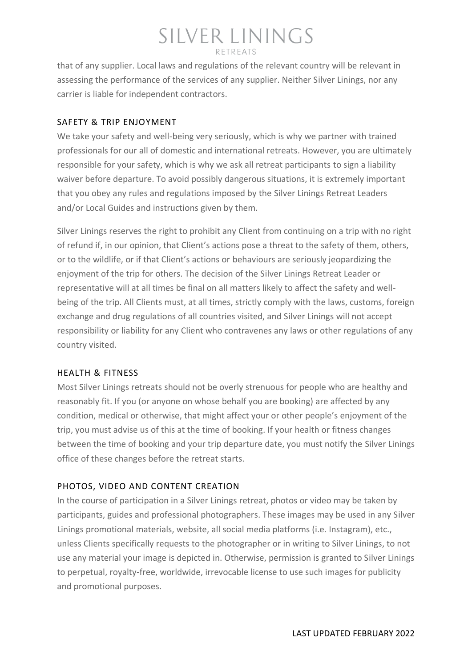## SILVER LININGS  $R$ FTRFATS

that of any supplier. Local laws and regulations of the relevant country will be relevant in assessing the performance of the services of any supplier. Neither Silver Linings, nor any carrier is liable for independent contractors.

## SAFETY & TRIP ENJOYMENT

We take your safety and well-being very seriously, which is why we partner with trained professionals for our all of domestic and international retreats. However, you are ultimately responsible for your safety, which is why we ask all retreat participants to sign a liability waiver before departure. To avoid possibly dangerous situations, it is extremely important that you obey any rules and regulations imposed by the Silver Linings Retreat Leaders and/or Local Guides and instructions given by them.

Silver Linings reserves the right to prohibit any Client from continuing on a trip with no right of refund if, in our opinion, that Client's actions pose a threat to the safety of them, others, or to the wildlife, or if that Client's actions or behaviours are seriously jeopardizing the enjoyment of the trip for others. The decision of the Silver Linings Retreat Leader or representative will at all times be final on all matters likely to affect the safety and wellbeing of the trip. All Clients must, at all times, strictly comply with the laws, customs, foreign exchange and drug regulations of all countries visited, and Silver Linings will not accept responsibility or liability for any Client who contravenes any laws or other regulations of any country visited.

## HEALTH & FITNESS

Most Silver Linings retreats should not be overly strenuous for people who are healthy and reasonably fit. If you (or anyone on whose behalf you are booking) are affected by any condition, medical or otherwise, that might affect your or other people's enjoyment of the trip, you must advise us of this at the time of booking. If your health or fitness changes between the time of booking and your trip departure date, you must notify the Silver Linings office of these changes before the retreat starts.

## PHOTOS, VIDEO AND CONTENT CREATION

In the course of participation in a Silver Linings retreat, photos or video may be taken by participants, guides and professional photographers. These images may be used in any Silver Linings promotional materials, website, all social media platforms (i.e. Instagram), etc., unless Clients specifically requests to the photographer or in writing to Silver Linings, to not use any material your image is depicted in. Otherwise, permission is granted to Silver Linings to perpetual, royalty-free, worldwide, irrevocable license to use such images for publicity and promotional purposes.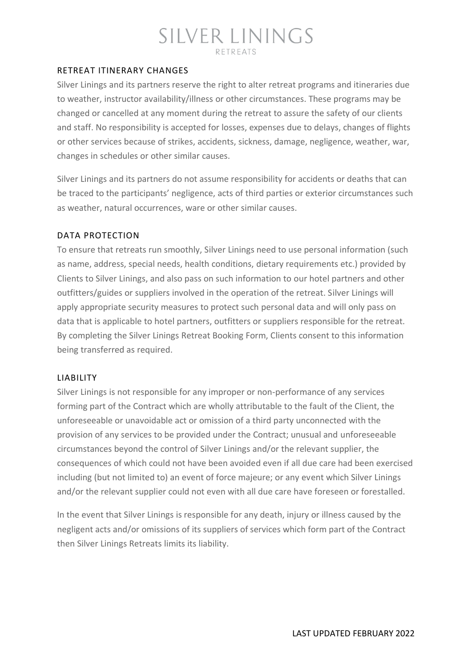## RETREAT ITINERARY CHANGES

Silver Linings and its partners reserve the right to alter retreat programs and itineraries due to weather, instructor availability/illness or other circumstances. These programs may be changed or cancelled at any moment during the retreat to assure the safety of our clients and staff. No responsibility is accepted for losses, expenses due to delays, changes of flights or other services because of strikes, accidents, sickness, damage, negligence, weather, war, changes in schedules or other similar causes.

Silver Linings and its partners do not assume responsibility for accidents or deaths that can be traced to the participants' negligence, acts of third parties or exterior circumstances such as weather, natural occurrences, ware or other similar causes.

## DATA PROTECTION

To ensure that retreats run smoothly, Silver Linings need to use personal information (such as name, address, special needs, health conditions, dietary requirements etc.) provided by Clients to Silver Linings, and also pass on such information to our hotel partners and other outfitters/guides or suppliers involved in the operation of the retreat. Silver Linings will apply appropriate security measures to protect such personal data and will only pass on data that is applicable to hotel partners, outfitters or suppliers responsible for the retreat. By completing the Silver Linings Retreat Booking Form, Clients consent to this information being transferred as required.

### LIABILITY

Silver Linings is not responsible for any improper or non-performance of any services forming part of the Contract which are wholly attributable to the fault of the Client, the unforeseeable or unavoidable act or omission of a third party unconnected with the provision of any services to be provided under the Contract; unusual and unforeseeable circumstances beyond the control of Silver Linings and/or the relevant supplier, the consequences of which could not have been avoided even if all due care had been exercised including (but not limited to) an event of force majeure; or any event which Silver Linings and/or the relevant supplier could not even with all due care have foreseen or forestalled.

In the event that Silver Linings is responsible for any death, injury or illness caused by the negligent acts and/or omissions of its suppliers of services which form part of the Contract then Silver Linings Retreats limits its liability.